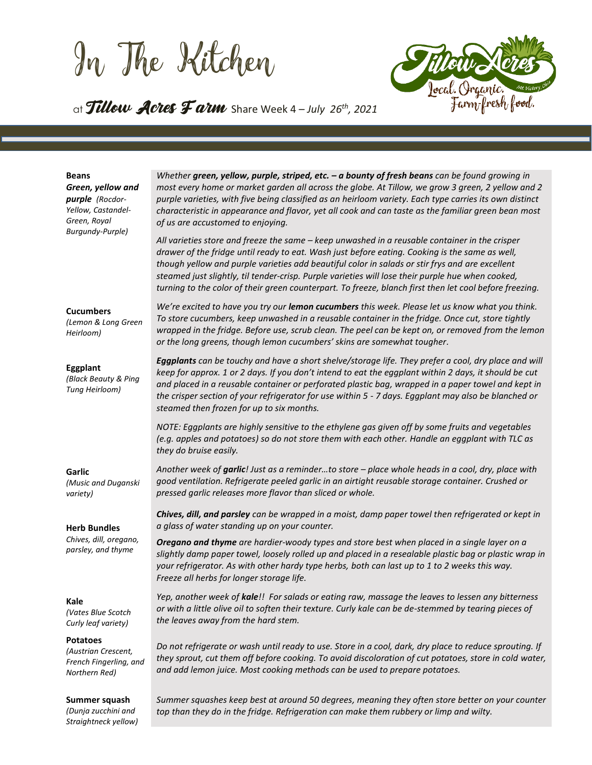In The Kitchen



# at Tillow Acres Farm Share Week <sup>4</sup> – *July 26th , 2021*

#### *Green, yellow and purple (Rocdor-Yellow, Castandel-Green, Royal Burgundy-Purple) most every home or market garden all across the globe. At Tillow, we grow 3 green, 2 yellow and 2 purple varieties, with five being classified as an heirloom variety. Each type carries its own distinct characteristic in appearance and flavor, yet all cook and can taste as the familiar green bean most of us are accustomed to enjoying. All varieties store and freeze the same – keep unwashed in a reusable container in the crisper drawer of the fridge until ready to eat. Wash just before eating. Cooking is the same as well, though yellow and purple varieties add beautiful color in salads or stir frys and are excellent steamed just slightly, til tender-crisp. Purple varieties will lose their purple hue when cooked, turning to the color of their green counterpart. To freeze, blanch first then let cool before freezing.* **Cucumbers** *(Lemon & Long Green Heirloom)* **Eggplant** *(Black Beauty & Ping Tung Heirloom)* **Garlic** *(Music and Duganski variety) We're excited to have you try our lemon cucumbers this week. Please let us know what you think. To store cucumbers, keep unwashed in a reusable container in the fridge. Once cut, store tightly wrapped in the fridge. Before use, scrub clean. The peel can be kept on, or removed from the lemon or the long greens, though lemon cucumbers' skins are somewhat tougher. Eggplants can be touchy and have a short shelve/storage life. They prefer a cool, dry place and will keep for approx. 1 or 2 days. If you don't intend to eat the eggplant within 2 days, it should be cut and placed in a reusable container or perforated plastic bag, wrapped in a paper towel and kept in the crisper section of your refrigerator for use within 5 - 7 days. Eggplant may also be blanched or steamed then frozen for up to six months. NOTE: Eggplants are highly sensitive to the ethylene gas given off by some fruits and vegetables (e.g. apples and potatoes) so do not store them with each other. Handle an eggplant with TLC as they do bruise easily. Another week of garlic! Just as a reminder…to store – place whole heads in a cool, dry, place with good ventilation. Refrigerate peeled garlic in an airtight reusable storage container. Crushed or pressed garlic releases more flavor than sliced or whole.*

*Chives, dill, and parsley can be wrapped in a moist, damp paper towel then refrigerated or kept in a glass of water standing up on your counter.* 

*Whether green, yellow, purple, striped, etc. – a bounty of fresh beans can be found growing in*

*Oregano and thyme are hardier-woody types and store best when placed in a single layer on a slightly damp paper towel, loosely rolled up and placed in a resealable plastic bag or plastic wrap in your refrigerator. As with other hardy type herbs, both can last up to 1 to 2 weeks this way. Freeze all herbs for longer storage life.* 

*Yep, another week of kale!! For salads or eating raw, massage the leaves to lessen any bitterness or with a little olive oil to soften their texture. Curly kale can be de-stemmed by tearing pieces of the leaves away from the hard stem.*

**Potatoes** *(Austrian Crescent, French Fingerling, and Northern Red) Do not refrigerate or wash until ready to use. Store in a cool, dark, dry place to reduce sprouting. If they sprout, cut them off before cooking. To avoid discoloration of cut potatoes, store in cold water,* 

#### **Summer squash**

*(Dunja zucchini and Straightneck yellow)* *and add lemon juice. Most cooking methods can be used to prepare potatoes. Summer squashes keep best at around 50 degrees, meaning they often store better on your counter* 

*top than they do in the fridge. Refrigeration can make them rubbery or limp and wilty.* 

#### **Herb Bundles**

**Beans**

*Chives, dill, oregano, parsley, and thyme*

#### **Kale**

*(Vates Blue Scotch Curly leaf variety)*